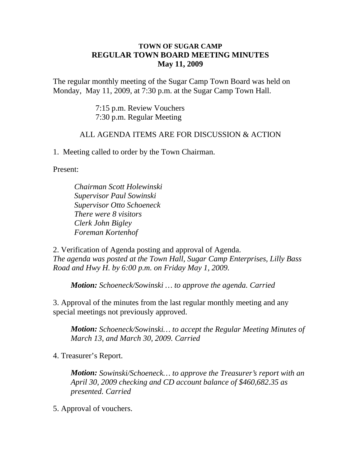## **TOWN OF SUGAR CAMP REGULAR TOWN BOARD MEETING MINUTES May 11, 2009**

The regular monthly meeting of the Sugar Camp Town Board was held on Monday, May 11, 2009, at 7:30 p.m. at the Sugar Camp Town Hall.

> 7:15 p.m. Review Vouchers 7:30 p.m. Regular Meeting

## ALL AGENDA ITEMS ARE FOR DISCUSSION & ACTION

1. Meeting called to order by the Town Chairman.

Present:

*Chairman Scott Holewinski Supervisor Paul Sowinski Supervisor Otto Schoeneck There were 8 visitors Clerk John Bigley Foreman Kortenhof*

2. Verification of Agenda posting and approval of Agenda. *The agenda was posted at the Town Hall, Sugar Camp Enterprises, Lilly Bass Road and Hwy H. by 6:00 p.m. on Friday May 1, 2009.*

*Motion: Schoeneck/Sowinski … to approve the agenda. Carried*

3. Approval of the minutes from the last regular monthly meeting and any special meetings not previously approved.

*Motion: Schoeneck/Sowinski… to accept the Regular Meeting Minutes of March 13, and March 30, 2009. Carried*

4. Treasurer's Report.

*Motion: Sowinski/Schoeneck… to approve the Treasurer's report with an April 30, 2009 checking and CD account balance of \$460,682.35 as presented. Carried*

5. Approval of vouchers.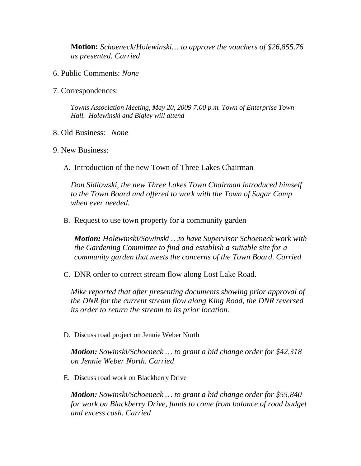**Motion:** *Schoeneck/Holewinski… to approve the vouchers of \$26,855.76 as presented. Carried*

- 6. Public Comments: *None*
- 7. Correspondences:

*Towns Association Meeting, May 20, 2009 7:00 p.m. Town of Enterprise Town Hall. Holewinski and Bigley will attend*

- 8. Old Business: *None*
- 9. New Business:
	- A. Introduction of the new Town of Three Lakes Chairman

*Don Sidlowski, the new Three Lakes Town Chairman introduced himself to the Town Board and offered to work with the Town of Sugar Camp when ever needed.*

B. Request to use town property for a community garden

*Motion: Holewinski/Sowinski …to have Supervisor Schoeneck work with the Gardening Committee to find and establish a suitable site for a community garden that meets the concerns of the Town Board. Carried*

C. DNR order to correct stream flow along Lost Lake Road.

*Mike reported that after presenting documents showing prior approval of the DNR for the current stream flow along King Road, the DNR reversed its order to return the stream to its prior location.*

D. Discuss road project on Jennie Weber North

*Motion: Sowinski/Schoeneck … to grant a bid change order for \$42,318 on Jennie Weber North. Carried*

E. Discuss road work on Blackberry Drive

*Motion: Sowinski/Schoeneck … to grant a bid change order for \$55,840 for work on Blackberry Drive, funds to come from balance of road budget and excess cash. Carried*